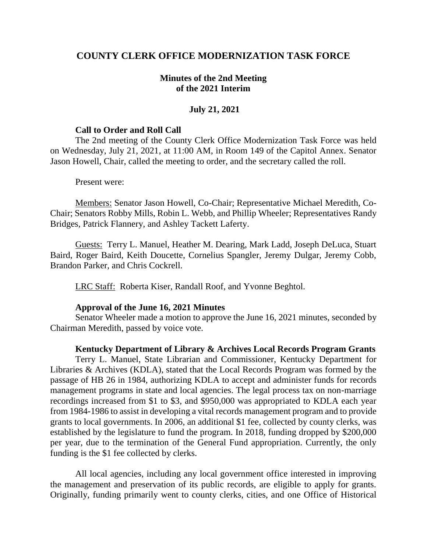# **COUNTY CLERK OFFICE MODERNIZATION TASK FORCE**

### **Minutes of the 2nd Meeting of the 2021 Interim**

### **July 21, 2021**

#### **Call to Order and Roll Call**

The 2nd meeting of the County Clerk Office Modernization Task Force was held on Wednesday, July 21, 2021, at 11:00 AM, in Room 149 of the Capitol Annex. Senator Jason Howell, Chair, called the meeting to order, and the secretary called the roll.

Present were:

Members: Senator Jason Howell, Co-Chair; Representative Michael Meredith, Co-Chair; Senators Robby Mills, Robin L. Webb, and Phillip Wheeler; Representatives Randy Bridges, Patrick Flannery, and Ashley Tackett Laferty.

Guests: Terry L. Manuel, Heather M. Dearing, Mark Ladd, Joseph DeLuca, Stuart Baird, Roger Baird, Keith Doucette, Cornelius Spangler, Jeremy Dulgar, Jeremy Cobb, Brandon Parker, and Chris Cockrell.

LRC Staff: Roberta Kiser, Randall Roof, and Yvonne Beghtol.

#### **Approval of the June 16, 2021 Minutes**

Senator Wheeler made a motion to approve the June 16, 2021 minutes, seconded by Chairman Meredith, passed by voice vote.

#### **Kentucky Department of Library & Archives Local Records Program Grants**

Terry L. Manuel, State Librarian and Commissioner, Kentucky Department for Libraries & Archives (KDLA), stated that the Local Records Program was formed by the passage of HB 26 in 1984, authorizing KDLA to accept and administer funds for records management programs in state and local agencies. The legal process tax on non-marriage recordings increased from \$1 to \$3, and \$950,000 was appropriated to KDLA each year from 1984-1986 to assist in developing a vital records management program and to provide grants to local governments. In 2006, an additional \$1 fee, collected by county clerks, was established by the legislature to fund the program. In 2018, funding dropped by \$200,000 per year, due to the termination of the General Fund appropriation. Currently, the only funding is the \$1 fee collected by clerks.

All local agencies, including any local government office interested in improving the management and preservation of its public records, are eligible to apply for grants. Originally, funding primarily went to county clerks, cities, and one Office of Historical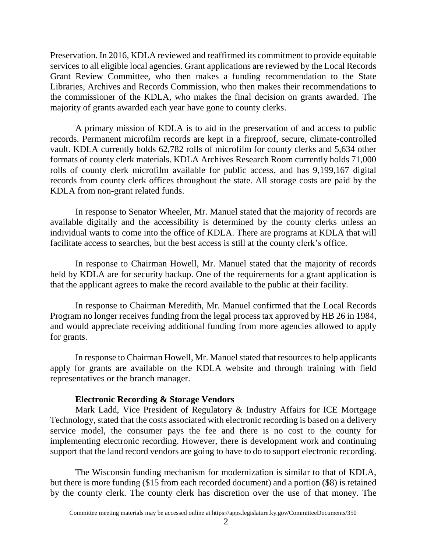Preservation. In 2016, KDLA reviewed and reaffirmed its commitment to provide equitable services to all eligible local agencies. Grant applications are reviewed by the Local Records Grant Review Committee, who then makes a funding recommendation to the State Libraries, Archives and Records Commission, who then makes their recommendations to the commissioner of the KDLA, who makes the final decision on grants awarded. The majority of grants awarded each year have gone to county clerks.

A primary mission of KDLA is to aid in the preservation of and access to public records. Permanent microfilm records are kept in a fireproof, secure, climate-controlled vault. KDLA currently holds 62,782 rolls of microfilm for county clerks and 5,634 other formats of county clerk materials. KDLA Archives Research Room currently holds 71,000 rolls of county clerk microfilm available for public access, and has 9,199,167 digital records from county clerk offices throughout the state. All storage costs are paid by the KDLA from non-grant related funds.

In response to Senator Wheeler, Mr. Manuel stated that the majority of records are available digitally and the accessibility is determined by the county clerks unless an individual wants to come into the office of KDLA. There are programs at KDLA that will facilitate access to searches, but the best access is still at the county clerk's office.

In response to Chairman Howell, Mr. Manuel stated that the majority of records held by KDLA are for security backup. One of the requirements for a grant application is that the applicant agrees to make the record available to the public at their facility.

In response to Chairman Meredith, Mr. Manuel confirmed that the Local Records Program no longer receives funding from the legal process tax approved by HB 26 in 1984, and would appreciate receiving additional funding from more agencies allowed to apply for grants.

In response to Chairman Howell, Mr. Manuel stated that resources to help applicants apply for grants are available on the KDLA website and through training with field representatives or the branch manager.

# **Electronic Recording & Storage Vendors**

Mark Ladd, Vice President of Regulatory & Industry Affairs for ICE Mortgage Technology, stated that the costs associated with electronic recording is based on a delivery service model, the consumer pays the fee and there is no cost to the county for implementing electronic recording. However, there is development work and continuing support that the land record vendors are going to have to do to support electronic recording.

The Wisconsin funding mechanism for modernization is similar to that of KDLA, but there is more funding (\$15 from each recorded document) and a portion (\$8) is retained by the county clerk. The county clerk has discretion over the use of that money. The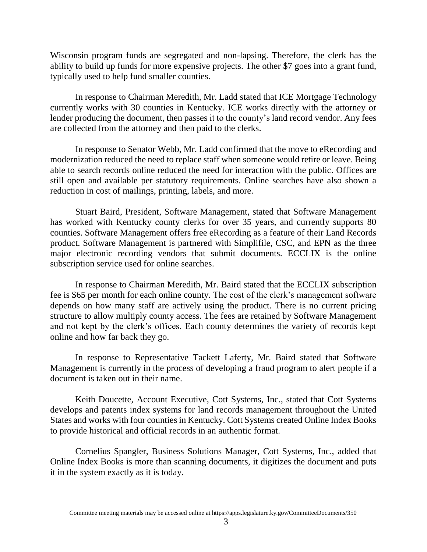Wisconsin program funds are segregated and non-lapsing. Therefore, the clerk has the ability to build up funds for more expensive projects. The other \$7 goes into a grant fund, typically used to help fund smaller counties.

In response to Chairman Meredith, Mr. Ladd stated that ICE Mortgage Technology currently works with 30 counties in Kentucky. ICE works directly with the attorney or lender producing the document, then passes it to the county's land record vendor. Any fees are collected from the attorney and then paid to the clerks.

In response to Senator Webb, Mr. Ladd confirmed that the move to eRecording and modernization reduced the need to replace staff when someone would retire or leave. Being able to search records online reduced the need for interaction with the public. Offices are still open and available per statutory requirements. Online searches have also shown a reduction in cost of mailings, printing, labels, and more.

Stuart Baird, President, Software Management, stated that Software Management has worked with Kentucky county clerks for over 35 years, and currently supports 80 counties. Software Management offers free eRecording as a feature of their Land Records product. Software Management is partnered with Simplifile, CSC, and EPN as the three major electronic recording vendors that submit documents. ECCLIX is the online subscription service used for online searches.

In response to Chairman Meredith, Mr. Baird stated that the ECCLIX subscription fee is \$65 per month for each online county. The cost of the clerk's management software depends on how many staff are actively using the product. There is no current pricing structure to allow multiply county access. The fees are retained by Software Management and not kept by the clerk's offices. Each county determines the variety of records kept online and how far back they go.

In response to Representative Tackett Laferty, Mr. Baird stated that Software Management is currently in the process of developing a fraud program to alert people if a document is taken out in their name.

Keith Doucette, Account Executive, Cott Systems, Inc., stated that Cott Systems develops and patents index systems for land records management throughout the United States and works with four counties in Kentucky. Cott Systems created Online Index Books to provide historical and official records in an authentic format.

Cornelius Spangler, Business Solutions Manager, Cott Systems, Inc., added that Online Index Books is more than scanning documents, it digitizes the document and puts it in the system exactly as it is today.

Committee meeting materials may be accessed online at https://apps.legislature.ky.gov/CommitteeDocuments/350